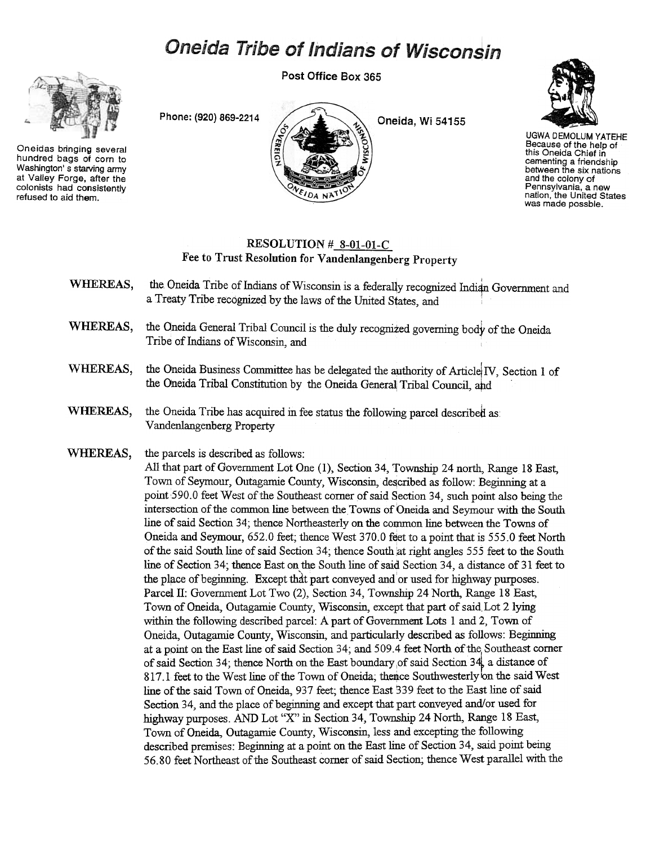## Oneida Tribe of Indians of Wisconsin

Post Office Box 365



Oneidas bringing several hundred bags ot corn to Washington's starving army at Valley Forge. after the colonists had consistently refused to aid them.





UGWA DEMOLUM YATEHE Because of the help of this Oneida Chief in cementing a friendship between the six nations and the colony of Pennsylvania, a new nation, the United States was made possble.

## $RESOLUTION # 8-01-01-C$ Fee to Trust Resolution for Vandenlangenberg Property

- WHEREAS, the Oneida Tribe of Indians of Wisconsin is a federally recognized Indian Government and a Treaty Tribe recognized by the laws of the United States, and
- WHEREAS, the Oneida General Tribal Council is the duly recognized governing body of the Oneida Tribe of Indians of Wisconsin, and
- WHEREAS, the Oneida Business Committee has be delegated the authority of Article IV, Section 1 of the Oneida Tribal Constitution by the Oneida General Tribal Council, and
- WHEREAS, the Oneida Tribe has acquired in fee status the following parcel described as Vandenlangenberg Property
- WHEREAS, the parcels is described as follows:

All that part of Government Lot One (1), Section 34, Township 24 north, Range 18 East, Town of Seymour, Outagamie County, Wisconsin, described as follow: Beginning at a point 590.0 feet West of the Southeast corner of said Section 34, such point also being the intersection of the common line between the Towns of Oneida and Seymour with the South line of said Section 34; thence Northeasterly on the common line between the Towns of Oneida and Seymour, 652.0 feet; thence West 370.0 feet to a point that is 555.0 feet North of the said South line of said Section 34; thence South at right angles 555 feet to the South line of Section 34; thence East on the South line of said Section 34, a distance of 31 feet to the place of beginning. Except that part conveyed and or used for highway purposes. Parcel II: Government Lot Two (2), Section 34, Township 24 North, Range 18 East, Town of Oneida, Outagamie County, Wisconsin, except that part of said Lot 2 lying within the following described parcel: A part of Government Lots 1 and 2, Town of Oneida, Outagamie County, Wisconsin, and particularly described as follows: Begjnning at a point on the East line of said Section 34; and 509.4 feet North of the Southeast comer of said Section 34; thence North on the East boundary of said Section 34, a distance of 817.1 feet to the West line of the Town of Oneida; thence Southwesterly on the said West line of the said Town of Oneida, 937 feet; thence East 339 feet to the East line of said Section 34, and the place of beginning and except that part conveyed and/or used for highway purposes. AND Lot "X" in Section 34, Township 24 North, Range 18 East, Town of Oneida, Outagamie County, Wisconsin, less and excepting the following described premises: Begjnning at a point on the East line of Section 34, said point being 56.80 feet Northeast of the Southeast comer of said Section; thence West parallel with the